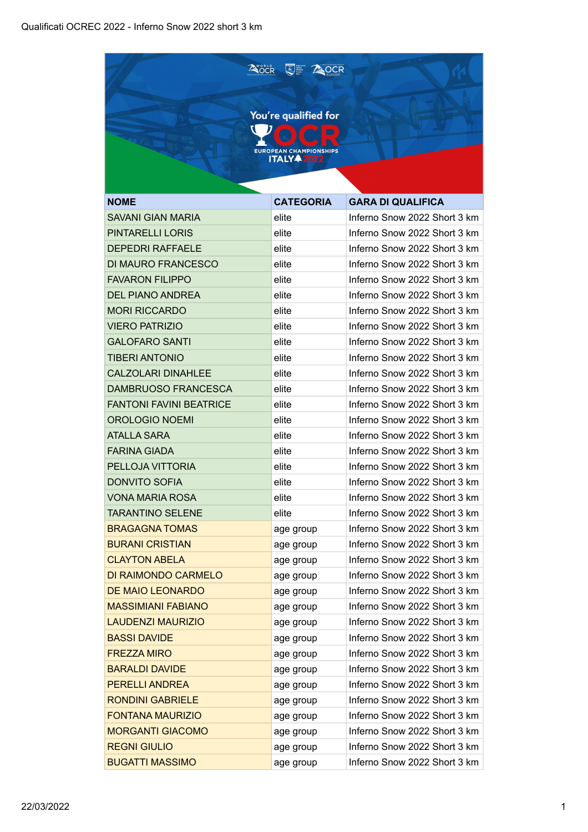| <b>A</b> ocr<br><b>AOCR</b><br>$\left(\frac{1}{\sqrt{2}}\right)$ |                               |                              |  |
|------------------------------------------------------------------|-------------------------------|------------------------------|--|
|                                                                  |                               |                              |  |
|                                                                  | You're qualified for          |                              |  |
|                                                                  |                               |                              |  |
|                                                                  | <b>EUROPEAN CHAMPIONSHIPS</b> |                              |  |
|                                                                  | <b>ITALY 42022</b>            |                              |  |
|                                                                  |                               |                              |  |
| <b>NOME</b>                                                      | <b>CATEGORIA</b>              | <b>GARA DI QUALIFICA</b>     |  |
| <b>SAVANI GIAN MARIA</b>                                         | elite                         | Inferno Snow 2022 Short 3 km |  |
| <b>PINTARELLI LORIS</b>                                          | elite                         | Inferno Snow 2022 Short 3 km |  |
| <b>DEPEDRI RAFFAELE</b>                                          | elite                         | Inferno Snow 2022 Short 3 km |  |
| DI MAURO FRANCESCO                                               | elite                         | Inferno Snow 2022 Short 3 km |  |
| <b>FAVARON FILIPPO</b>                                           | elite                         | Inferno Snow 2022 Short 3 km |  |
| <b>DEL PIANO ANDREA</b>                                          | elite                         | Inferno Snow 2022 Short 3 km |  |
| <b>MORI RICCARDO</b>                                             | elite                         | Inferno Snow 2022 Short 3 km |  |
| <b>VIERO PATRIZIO</b>                                            | elite                         | Inferno Snow 2022 Short 3 km |  |
| <b>GALOFARO SANTI</b>                                            | elite                         | Inferno Snow 2022 Short 3 km |  |
| <b>TIBERI ANTONIO</b>                                            | elite                         | Inferno Snow 2022 Short 3 km |  |
| <b>CALZOLARI DINAHLEE</b>                                        | elite                         | Inferno Snow 2022 Short 3 km |  |
| DAMBRUOSO FRANCESCA                                              | elite                         | Inferno Snow 2022 Short 3 km |  |
| <b>FANTONI FAVINI BEATRICE</b>                                   | elite                         | Inferno Snow 2022 Short 3 km |  |
| <b>OROLOGIO NOEMI</b>                                            | elite                         | Inferno Snow 2022 Short 3 km |  |
| <b>ATALLA SARA</b>                                               | elite                         | Inferno Snow 2022 Short 3 km |  |
| <b>FARINA GIADA</b>                                              | elite                         | Inferno Snow 2022 Short 3 km |  |
| PELLOJA VITTORIA                                                 | elite                         | Inferno Snow 2022 Short 3 km |  |
| <b>DONVITO SOFIA</b>                                             | elite                         | Inferno Snow 2022 Short 3 km |  |
| <b>VONA MARIA ROSA</b>                                           | elite                         | Inferno Snow 2022 Short 3 km |  |
| <b>TARANTINO SELENE</b>                                          | elite                         | Inferno Snow 2022 Short 3 km |  |
| <b>BRAGAGNA TOMAS</b>                                            | age group                     | Inferno Snow 2022 Short 3 km |  |
| <b>BURANI CRISTIAN</b>                                           | age group                     | Inferno Snow 2022 Short 3 km |  |
| <b>CLAYTON ABELA</b>                                             | age group                     | Inferno Snow 2022 Short 3 km |  |
| DI RAIMONDO CARMELO                                              | age group                     | Inferno Snow 2022 Short 3 km |  |
| <b>DE MAIO LEONARDO</b>                                          | age group                     | Inferno Snow 2022 Short 3 km |  |
| <b>MASSIMIANI FABIANO</b>                                        | age group                     | Inferno Snow 2022 Short 3 km |  |
| <b>LAUDENZI MAURIZIO</b>                                         | age group                     | Inferno Snow 2022 Short 3 km |  |
| <b>BASSI DAVIDE</b>                                              | age group                     | Inferno Snow 2022 Short 3 km |  |
| <b>FREZZA MIRO</b>                                               | age group                     | Inferno Snow 2022 Short 3 km |  |
| <b>BARALDI DAVIDE</b>                                            | age group                     | Inferno Snow 2022 Short 3 km |  |
| <b>PERELLI ANDREA</b>                                            | age group                     | Inferno Snow 2022 Short 3 km |  |
| <b>RONDINI GABRIELE</b>                                          | age group                     | Inferno Snow 2022 Short 3 km |  |
| <b>FONTANA MAURIZIO</b>                                          | age group                     | Inferno Snow 2022 Short 3 km |  |
| <b>MORGANTI GIACOMO</b>                                          | age group                     | Inferno Snow 2022 Short 3 km |  |
| <b>REGNI GIULIO</b>                                              | age group                     | Inferno Snow 2022 Short 3 km |  |
| <b>BUGATTI MASSIMO</b>                                           | age group                     | Inferno Snow 2022 Short 3 km |  |